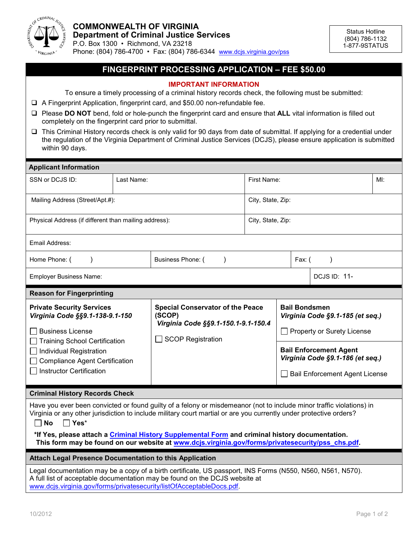

## **FINGERPRINT PROCESSING APPLICATION – FEE \$50.00**

## **IMPORTANT INFORMATION**

To ensure a timely processing of a criminal history records check, the following must be submitted:

- A Fingerprint Application, fingerprint card, and \$50.00 non-refundable fee.
- □ Please **DO NOT** bend, fold or hole-punch the fingerprint card and ensure that **ALL** vital information is filled out completely on the fingerprint card prior to submittal.
- This Criminal History records check is only valid for 90 days from date of submittal. If applying for a credential under the regulation of the Virginia Department of Criminal Justice Services (DCJS), please ensure application is submitted within 90 days.

| <b>Applicant Information</b>                                                                                                                                                                                                               |                                                                         |                                                                                                                      |                   |                                                                                                            |                                                                                        |  |  |  |  |
|--------------------------------------------------------------------------------------------------------------------------------------------------------------------------------------------------------------------------------------------|-------------------------------------------------------------------------|----------------------------------------------------------------------------------------------------------------------|-------------------|------------------------------------------------------------------------------------------------------------|----------------------------------------------------------------------------------------|--|--|--|--|
| SSN or DCJS ID:                                                                                                                                                                                                                            | Last Name:                                                              |                                                                                                                      | First Name:       |                                                                                                            | $M!$ :                                                                                 |  |  |  |  |
| Mailing Address (Street/Apt.#):                                                                                                                                                                                                            |                                                                         |                                                                                                                      | City, State, Zip: |                                                                                                            |                                                                                        |  |  |  |  |
| Physical Address (if different than mailing address):                                                                                                                                                                                      |                                                                         |                                                                                                                      | City, State, Zip: |                                                                                                            |                                                                                        |  |  |  |  |
| Email Address:                                                                                                                                                                                                                             |                                                                         |                                                                                                                      |                   |                                                                                                            |                                                                                        |  |  |  |  |
| Home Phone: (                                                                                                                                                                                                                              |                                                                         | Business Phone: (                                                                                                    |                   | Fax: (                                                                                                     |                                                                                        |  |  |  |  |
| <b>Employer Business Name:</b>                                                                                                                                                                                                             |                                                                         |                                                                                                                      |                   |                                                                                                            | <b>DCJS ID: 11-</b>                                                                    |  |  |  |  |
| <b>Reason for Fingerprinting</b>                                                                                                                                                                                                           |                                                                         |                                                                                                                      |                   |                                                                                                            |                                                                                        |  |  |  |  |
| <b>Private Security Services</b><br><b>Business License</b>                                                                                                                                                                                | Virginia Code §§9.1-138-9.1-150<br><b>Training School Certification</b> | <b>Special Conservator of the Peace</b><br>(SCOP)<br>Virginia Code §§9.1-150.1-9.1-150.4<br><b>SCOP Registration</b> |                   |                                                                                                            | <b>Bail Bondsmen</b><br>Virginia Code §9.1-185 (et seq.)<br>Property or Surety License |  |  |  |  |
| Individual Registration<br><b>Compliance Agent Certification</b><br><b>Instructor Certification</b>                                                                                                                                        |                                                                         |                                                                                                                      |                   | <b>Bail Enforcement Agent</b><br>Virginia Code §9.1-186 (et seq.)<br><b>Bail Enforcement Agent License</b> |                                                                                        |  |  |  |  |
| <b>Criminal History Records Check</b>                                                                                                                                                                                                      |                                                                         |                                                                                                                      |                   |                                                                                                            |                                                                                        |  |  |  |  |
| Have you ever been convicted or found guilty of a felony or misdemeanor (not to include minor traffic violations) in<br>Virginia or any other jurisdiction to include military court martial or are you currently under protective orders? |                                                                         |                                                                                                                      |                   |                                                                                                            |                                                                                        |  |  |  |  |

**No Yes**\*

**\*If Yes, please attach a [Criminal History Supplemental](http://www.dcjs.virginia.gov/forms/privatesecurity/pss_chs.pdf) Form and criminal history documentation. This form may be found on our website at [www.dcjs.virginia.gov/forms/privatesecurity/pss\\_chs.pdf.](http://www.dcjs.virginia.gov/forms/privatesecurity/pss_chs.pdf)**

## **Attach Legal Presence Documentation to this Application**

Legal documentation may be a copy of a birth certificate, US passport, INS Forms (N550, N560, N561, N570). A full list of acceptable documentation may be found on the DCJS website at [www.dcjs.virginia.gov/forms/privatesecurity/listOfAcceptableDocs.pdf](http://www.dcjs.virginia.gov/forms/privatesecurity/listOfAcceptableDocs.pdf).